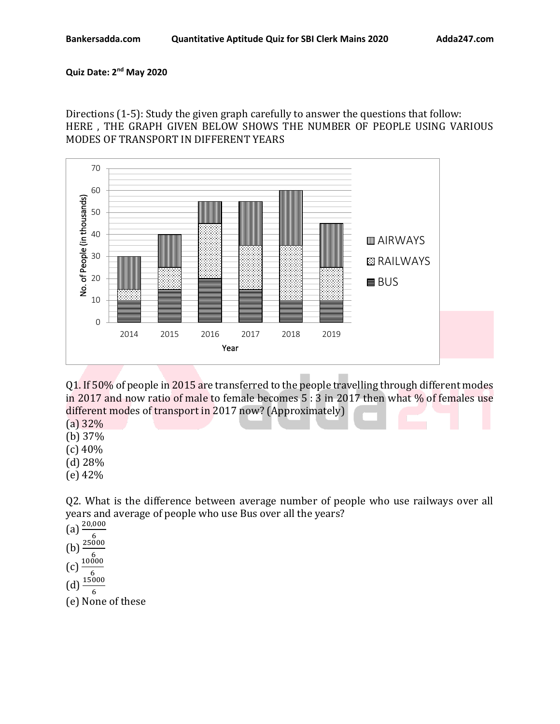## **Quiz Date: 2 nd May 2020**

Directions (1-5): Study the given graph carefully to answer the questions that follow: HERE , THE GRAPH GIVEN BELOW SHOWS THE NUMBER OF PEOPLE USING VARIOUS MODES OF TRANSPORT IN DIFFERENT YEARS



Q1. If 50% of people in 2015 are transferred to the people travelling through different modes in 2017 and now ratio of male to female becomes 5 : 3 in 2017 then what % of females use different modes of transport in 2017 now? (Approximately)

(a) 32%

(b) 37%

(c) 40%

- (d) 28%
- (e) 42%

Q2. What is the difference between average number of people who use railways over all years and average of people who use Bus over all the years?

(a)  $\frac{20,000}{\ }$ (b)  $\frac{6}{5}$  $(c)$ <sup>6</sup><br>(c)  $\frac{10000}{c}$  $\frac{6}{\sqrt{6}}$ <br>(d)  $\frac{15000}{\sqrt{6}}$ 6 (e) None of these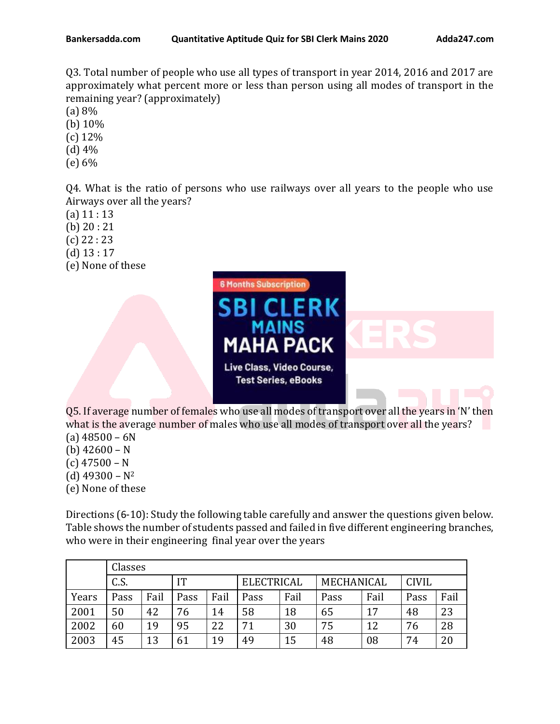Q3. Total number of people who use all types of transport in year 2014, 2016 and 2017 are approximately what percent more or less than person using all modes of transport in the remaining year? (approximately)

- (a) 8%
- (b) 10%
- (c) 12%
- (d) 4%
- (e) 6%

Q4. What is the ratio of persons who use railways over all years to the people who use Airways over all the years?

- $(a) 11 : 13$
- (b) 20 : 21
- (c) 22 : 23
- (d) 13 : 17
- (e) None of these



Q5. If average number of females who use all modes of transport over all the years in 'N' then what is the average number of males who use all modes of transport over all the years?  $(a)$  48500 – 6N

- (b) 42600 N
- $(c)$  47500 N
- 
- (d)  $49300 N^2$
- (e) None of these

Directions (6-10): Study the following table carefully and answer the questions given below. Table shows the number of students passed and failed in five different engineering branches, who were in their engineering final year over the years

|       | Classes |      |           |      |                   |      |            |      |              |      |
|-------|---------|------|-----------|------|-------------------|------|------------|------|--------------|------|
|       | C.S.    |      | <b>IT</b> |      | <b>ELECTRICAL</b> |      | MECHANICAL |      | <b>CIVIL</b> |      |
| Years | Pass    | Fail | Pass      | Fail | Pass              | Fail | Pass       | Fail | Pass         | Fail |
| 2001  | 50      | 42   | 76        | 14   | 58                | 18   | 65         | 17   | 48           | 23   |
| 2002  | 60      | 19   | 95        | 22   | 71                | 30   | 75         | 12   | 76           | 28   |
| 2003  | 45      | 13   | 61        | 19   | 49                | 15   | 48         | 08   | 74           | 20   |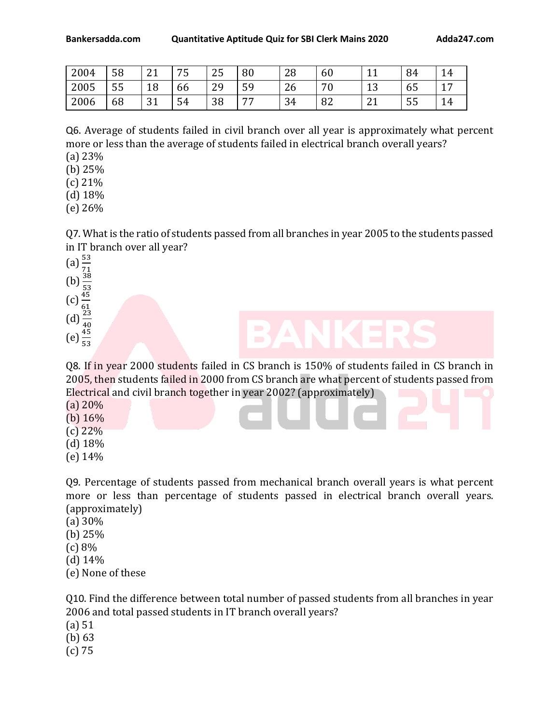| 2004 | 58        | $\mathbf{A}$<br>▵ | 75 | $\Omega$ $\blacksquare$<br>25 | 80             | 28           | 60        | $\overline{A}$             | 84 | 14                         |
|------|-----------|-------------------|----|-------------------------------|----------------|--------------|-----------|----------------------------|----|----------------------------|
| 2005 | H.H<br>ჂჂ | 18                | bb | nn<br>49                      | EΩ<br>J J      | $\sim$<br>۷b | 70<br>- v | $\sim$<br>ᅩ                | ხჂ | $\overline{ }$<br><b>*</b> |
| 2006 | 68        | ີ 1<br>JI         | 54 | 38                            | $\overline{a}$ | 34           | 82        | $\mathbf{a}$<br><u>_ i</u> | 55 | 14                         |

Q6. Average of students failed in civil branch over all year is approximately what percent more or less than the average of students failed in electrical branch overall years?

(a) 23%

(b) 25%

(c) 21%

(d) 18%

(e) 26%

Q7. What is the ratio of students passed from all branches in year 2005 to the students passed in IT branch over all year?

(a)  $\frac{53}{71}$ <br>
(b)  $\frac{38}{53}$ <br>
(c)  $\frac{45}{61}$ <br>
(d)  $\frac{23}{40}$ <br>
(e)  $\frac{45}{53}$ 

Q8. If in year 2000 students failed in CS branch is 150% of students failed in CS branch in 2005, then students failed in 2000 from CS branch are what percent of students passed from Electrical and civil branch together in year 2002? (approximately)

(a) 20%

(b)  $16\%$ 

(c) 22%

- (d) 18%
- (e) 14%

Q9. Percentage of students passed from mechanical branch overall years is what percent more or less than percentage of students passed in electrical branch overall years. (approximately)

- (a) 30%
- (b) 25%
- (c) 8%
- (d) 14%
- (e) None of these

Q10. Find the difference between total number of passed students from all branches in year 2006 and total passed students in IT branch overall years?

(a) 51

(b) 63

(c) 75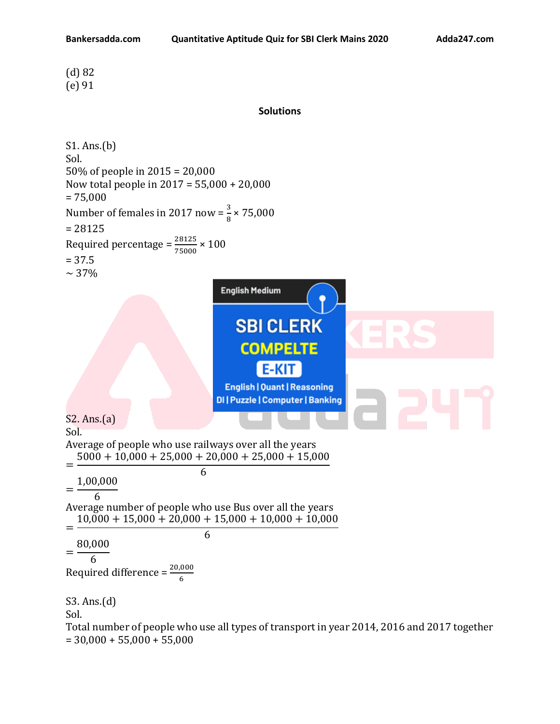(d) 82 (e) 91

## **Solutions**

S1. Ans.(b) Sol. 50% of people in 2015 = 20,000 Now total people in 2017 = 55,000 + 20,000  $= 75,000$ Number of females in 2017 now =  $\frac{3}{8}$  × 75,000 = 28125 Required percentage =  $\frac{28125}{75000} \times 100$ = 37.5  $\sim$  37% **English Medium SBI CLERK COMPELTE E-KIT English | Quant | Reasoning DI | Puzzle | Computer | Banking** S2. Ans.(a) Sol. Average of people who use railways over all the years  $5000 + 10,000 + 25,000 + 20,000 + 25,000 + 15,000$ = 6 1,00,000 = 6 Average number of people who use Bus over all the years  $10,000 + 15,000 + 20,000 + 15,000 + 10,000 + 10,000$ = 6 80,000 = 6 Required difference =  $\frac{20,000}{6}$ S3. Ans.(d) Sol. Total number of people who use all types of transport in year 2014, 2016 and 2017 together  $= 30,000 + 55,000 + 55,000$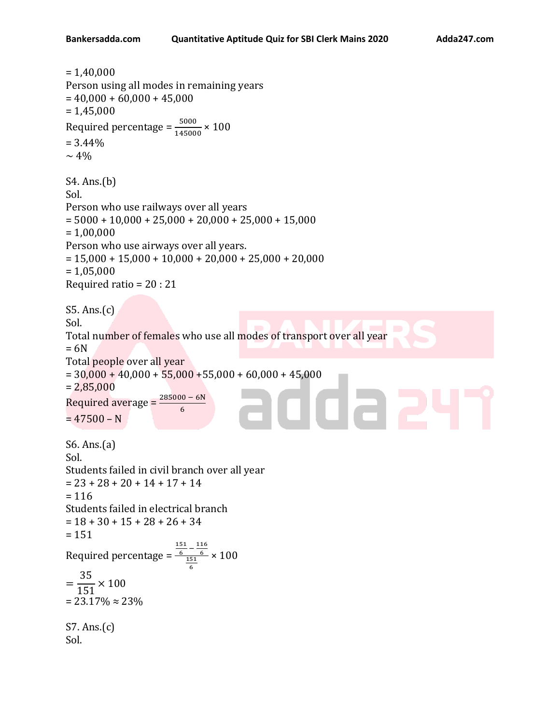```
= 1,40,000Person using all modes in remaining years
= 40,000 + 60,000 + 45,000= 1,45,000Required percentage = \frac{5000}{145000} \times 100= 3.44\%\sim 4\%S4. Ans.(b)
Sol. 
Person who use railways over all years
= 5000 + 10,000 + 25,000 + 20,000 + 25,000 + 15,000= 1,00,000Person who use airways over all years.
= 15,000 + 15,000 + 10,000 + 20,000 + 25,000 + 20,000= 1,05,000Required ratio = 20 : 21
S5. Ans.(c)
Sol. 
Total number of females who use all modes of transport over all year
= 6NTotal people over all year
= 30,000 + 40,000 + 55,000 + 55,000 + 60,000 + 45,000= 2,85,000na:
Required average =6
= 47500 - NS6. Ans.(a)
Sol. 
Students failed in civil branch over all year
= 23 + 28 + 20 + 14 + 17 + 14= 116Students failed in electrical branch
= 18 + 30 + 15 + 28 + 26 + 34= 151151
                          \frac{51}{6} - \frac{116}{6}Required percentage = 
                           \frac{6}{151}× 100
                            6
   35
=
  \frac{151}{151} \times 100= 23.17\% \approx 23\%S7. Ans.(c)
Sol.
```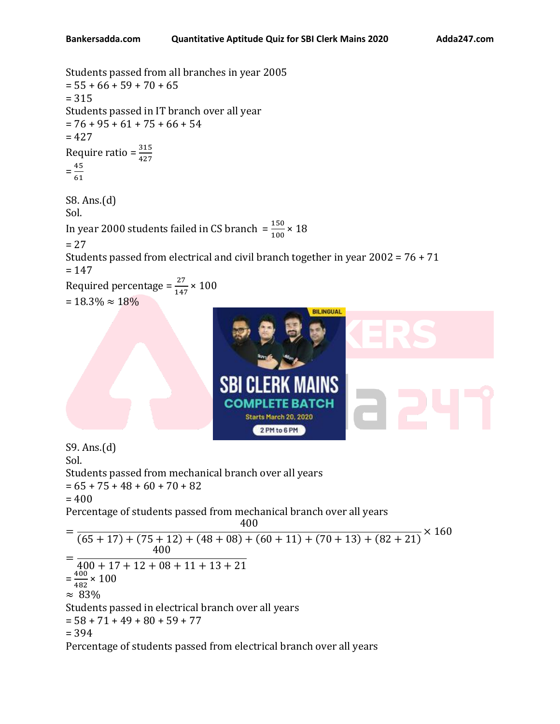Students passed from all branches in year 2005  $= 55 + 66 + 59 + 70 + 65$ = 315 Students passed in IT branch over all year  $= 76 + 95 + 61 + 75 + 66 + 54$  $= 427$ Require ratio =  $\frac{315}{427}$  $=\frac{45}{11}$ 61 S8. Ans.(d) Sol. In year 2000 students failed in CS branch  $=\frac{150}{100} \times 18$  $= 27$ Students passed from electrical and civil branch together in year 2002 = 76 + 71  $= 147$ Required percentage =  $\frac{27}{147} \times 100$  $= 18.3\% \approx 18\%$ **BILINGUAL** 



S9. Ans.(d) Sol.

Students passed from mechanical branch over all years

 $= 65 + 75 + 48 + 60 + 70 + 82$ 

 $= 400$ 

Percentage of students passed from mechanical branch over all years 400

$$
= \frac{150}{(65+17)+(75+12)+(48+08)+(60+11)+(70+13)+(82+21)} \times 160
$$
  
=  $\frac{400}{400+17+12+08+11+13+21}$   
=  $\frac{400}{482} \times 100$   
≈ 83%  
Students passed in electrical branch over all years  
= 58 + 71 + 49 + 80 + 59 + 77  
= 394  
Percentage of students passed from electrical branch over all years